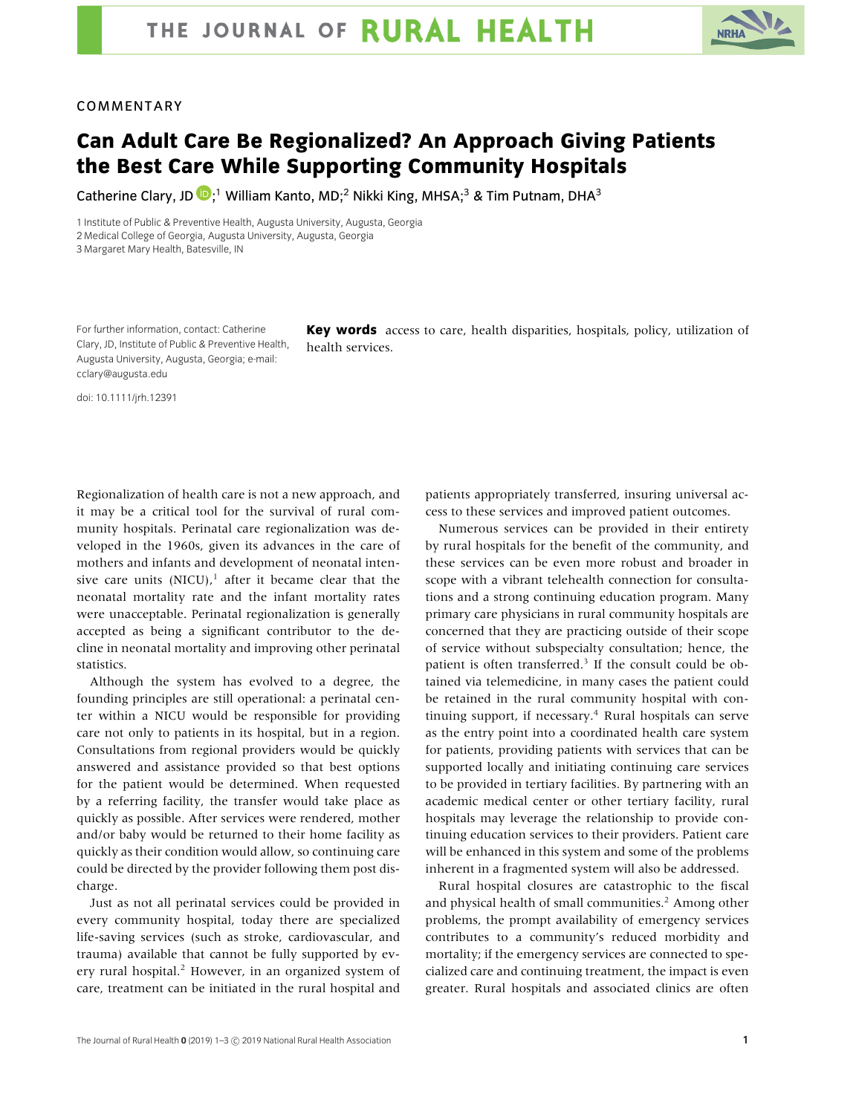

## COMMENTARY

## **Can Adult Care Be Regionalized? An Approach Giving Patients the Best Care While Supporting Community Hospitals**

 $\mathcal{L}$ Catherine Clary, JD  $\mathbb{D}$ ;<sup>1</sup> William Kanto, MD;<sup>2</sup> Nikki King, MHSA;<sup>3</sup> & Tim Putnam, DHA<sup>3</sup>

1 Institute of Public & Preventive Health, Augusta University, Augusta, Georgia 2 Medical College of Georgia, Augusta University, Augusta, Georgia

3 Margaret Mary Health, Batesville, IN

For further information, contact: Catherine Clary, JD, Institute of Public & Preventive Health, Augusta University, Augusta, Georgia; e-mail: cclary@augusta.edu

**Key words** access to care, health disparities, hospitals, policy, utilization of health services.

doi: 10.1111/jrh.12391

Regionalization of health care is not a new approach, and it may be a critical tool for the survival of rural community hospitals. Perinatal care regionalization was developed in the 1960s, given its advances in the care of mothers and infants and development of neonatal intensive care units (NICU), $1$  after it became clear that the neonatal mortality rate and the infant mortality rates were unacceptable. Perinatal regionalization is generally accepted as being a significant contributor to the decline in neonatal mortality and improving other perinatal statistics.

Although the system has evolved to a degree, the founding principles are still operational: a perinatal center within a NICU would be responsible for providing care not only to patients in its hospital, but in a region. Consultations from regional providers would be quickly answered and assistance provided so that best options for the patient would be determined. When requested by a referring facility, the transfer would take place as quickly as possible. After services were rendered, mother and/or baby would be returned to their home facility as quickly as their condition would allow, so continuing care could be directed by the provider following them post discharge.

Just as not all perinatal services could be provided in every community hospital, today there are specialized life-saving services (such as stroke, cardiovascular, and trauma) available that cannot be fully supported by every rural hospital.<sup>2</sup> However, in an organized system of care, treatment can be initiated in the rural hospital and

patients appropriately transferred, insuring universal access to these services and improved patient outcomes.

Numerous services can be provided in their entirety by rural hospitals for the benefit of the community, and these services can be even more robust and broader in scope with a vibrant telehealth connection for consultations and a strong continuing education program. Many primary care physicians in rural community hospitals are concerned that they are practicing outside of their scope of service without subspecialty consultation; hence, the patient is often transferred.<sup>3</sup> If the consult could be obtained via telemedicine, in many cases the patient could be retained in the rural community hospital with continuing support, if necessary. $4$  Rural hospitals can serve as the entry point into a coordinated health care system for patients, providing patients with services that can be supported locally and initiating continuing care services to be provided in tertiary facilities. By partnering with an academic medical center or other tertiary facility, rural hospitals may leverage the relationship to provide continuing education services to their providers. Patient care will be enhanced in this system and some of the problems inherent in a fragmented system will also be addressed.

Rural hospital closures are catastrophic to the fiscal and physical health of small communities.<sup>2</sup> Among other problems, the prompt availability of emergency services contributes to a community's reduced morbidity and mortality; if the emergency services are connected to specialized care and continuing treatment, the impact is even greater. Rural hospitals and associated clinics are often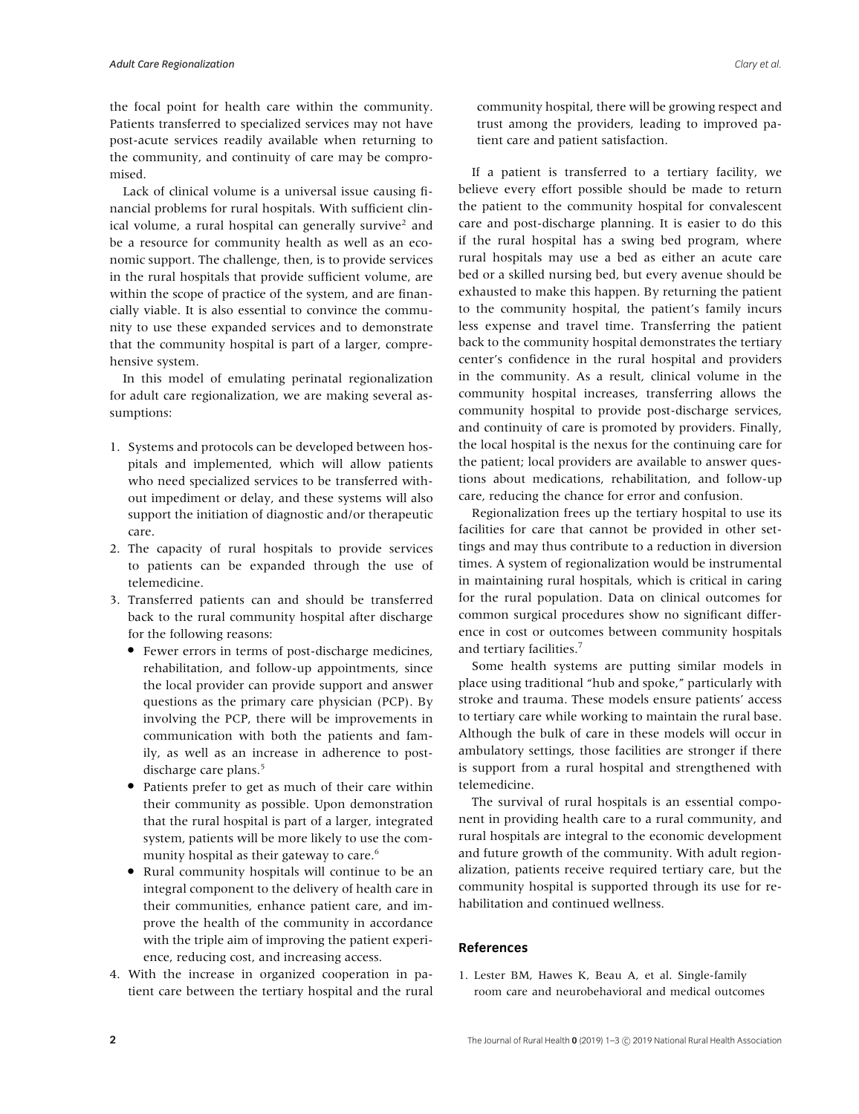the focal point for health care within the community. Patients transferred to specialized services may not have post-acute services readily available when returning to the community, and continuity of care may be compromised.

Lack of clinical volume is a universal issue causing financial problems for rural hospitals. With sufficient clinical volume, a rural hospital can generally survive<sup>2</sup> and be a resource for community health as well as an economic support. The challenge, then, is to provide services in the rural hospitals that provide sufficient volume, are within the scope of practice of the system, and are financially viable. It is also essential to convince the community to use these expanded services and to demonstrate that the community hospital is part of a larger, comprehensive system.

In this model of emulating perinatal regionalization for adult care regionalization, we are making several assumptions:

- 1. Systems and protocols can be developed between hospitals and implemented, which will allow patients who need specialized services to be transferred without impediment or delay, and these systems will also support the initiation of diagnostic and/or therapeutic care.
- 2. The capacity of rural hospitals to provide services to patients can be expanded through the use of telemedicine.
- 3. Transferred patients can and should be transferred back to the rural community hospital after discharge for the following reasons:
	- Fewer errors in terms of post-discharge medicines, rehabilitation, and follow-up appointments, since the local provider can provide support and answer questions as the primary care physician (PCP). By involving the PCP, there will be improvements in communication with both the patients and family, as well as an increase in adherence to postdischarge care plans.<sup>5</sup>
	- Patients prefer to get as much of their care within their community as possible. Upon demonstration that the rural hospital is part of a larger, integrated system, patients will be more likely to use the community hospital as their gateway to care.<sup>6</sup>
	- Rural community hospitals will continue to be an integral component to the delivery of health care in their communities, enhance patient care, and improve the health of the community in accordance with the triple aim of improving the patient experience, reducing cost, and increasing access.
- 4. With the increase in organized cooperation in patient care between the tertiary hospital and the rural

community hospital, there will be growing respect and trust among the providers, leading to improved patient care and patient satisfaction.

If a patient is transferred to a tertiary facility, we believe every effort possible should be made to return the patient to the community hospital for convalescent care and post-discharge planning. It is easier to do this if the rural hospital has a swing bed program, where rural hospitals may use a bed as either an acute care bed or a skilled nursing bed, but every avenue should be exhausted to make this happen. By returning the patient to the community hospital, the patient's family incurs less expense and travel time. Transferring the patient back to the community hospital demonstrates the tertiary center's confidence in the rural hospital and providers in the community. As a result, clinical volume in the community hospital increases, transferring allows the community hospital to provide post-discharge services, and continuity of care is promoted by providers. Finally, the local hospital is the nexus for the continuing care for the patient; local providers are available to answer questions about medications, rehabilitation, and follow-up care, reducing the chance for error and confusion.

Regionalization frees up the tertiary hospital to use its facilities for care that cannot be provided in other settings and may thus contribute to a reduction in diversion times. A system of regionalization would be instrumental in maintaining rural hospitals, which is critical in caring for the rural population. Data on clinical outcomes for common surgical procedures show no significant difference in cost or outcomes between community hospitals and tertiary facilities.7

Some health systems are putting similar models in place using traditional "hub and spoke," particularly with stroke and trauma. These models ensure patients' access to tertiary care while working to maintain the rural base. Although the bulk of care in these models will occur in ambulatory settings, those facilities are stronger if there is support from a rural hospital and strengthened with telemedicine.

The survival of rural hospitals is an essential component in providing health care to a rural community, and rural hospitals are integral to the economic development and future growth of the community. With adult regionalization, patients receive required tertiary care, but the community hospital is supported through its use for rehabilitation and continued wellness.

## **References**

1. Lester BM, Hawes K, Beau A, et al. Single-family room care and neurobehavioral and medical outcomes